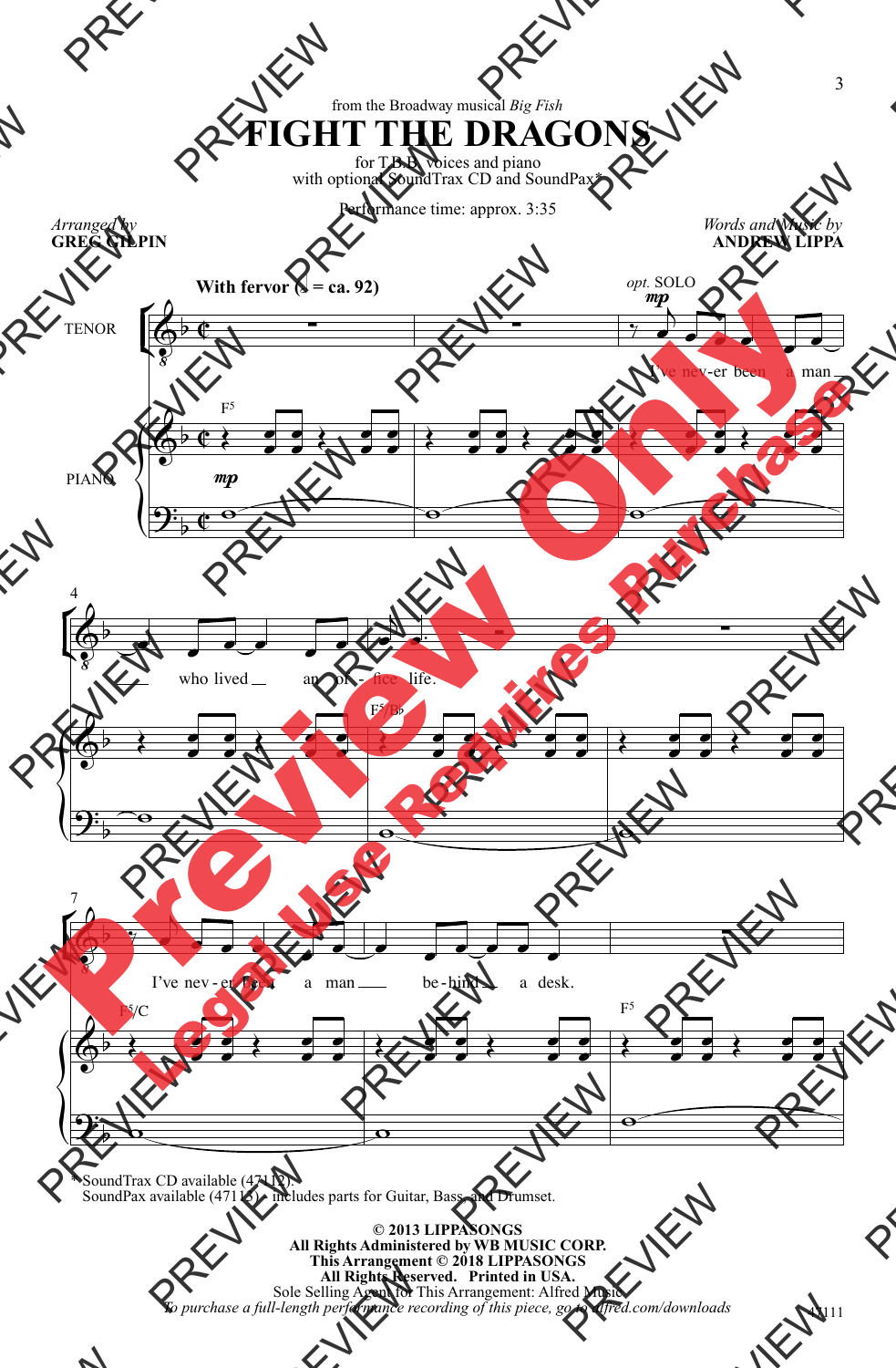for T.B.B. voices and piano with optional SoundTrax CD and SoundPax\*

Performance time: approx. 3:35

## *Arranged by* **GREG GILPIN**

*Words and Music by* **ANDREW LIPPA**



\* SoundTrax CD available (47112). SoundPax available (47113) - includes parts for Guitar, Bass, and Drumset.

> **© 2013 LIPPASONGS All Rights Administered by WB MUSIC CORP. This Arrangement © 2018 LIPPASONGS All Rights Reserved. Printed in USA.** Sole Selling Agent for This Arrangement: Alfred Music *To purchase a full-length performance recording of this piece, go to alfred.com/downloads*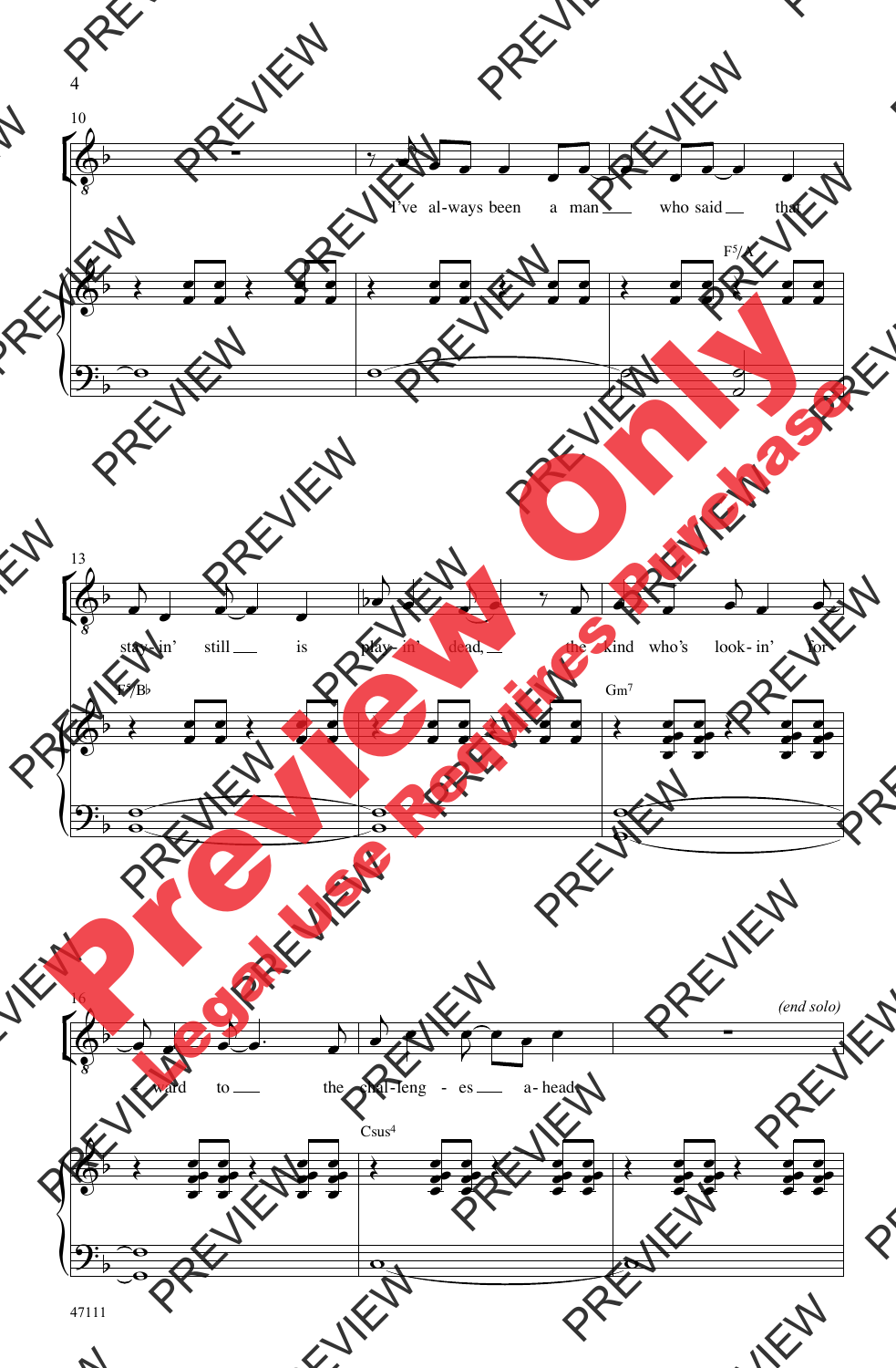

47111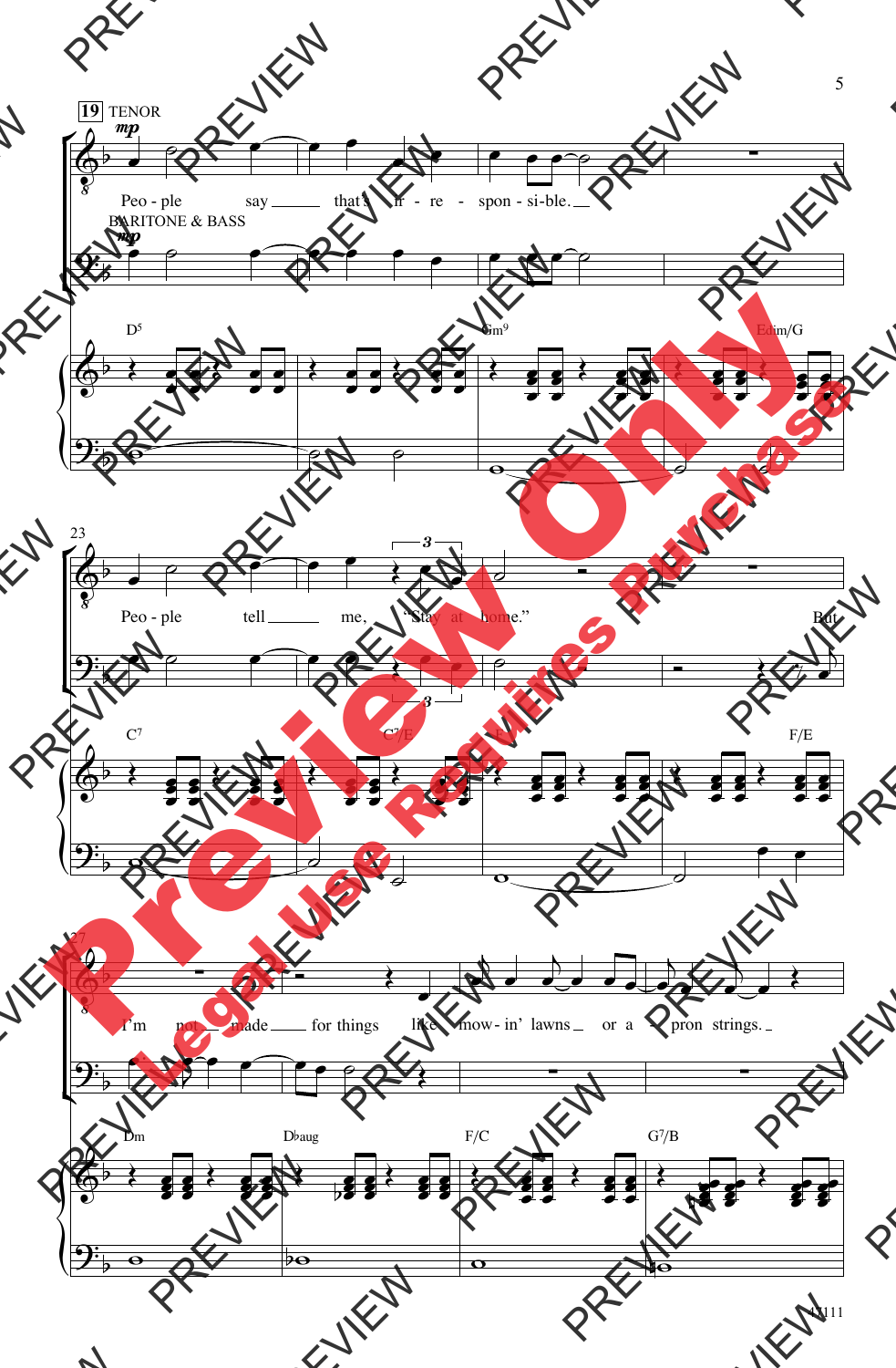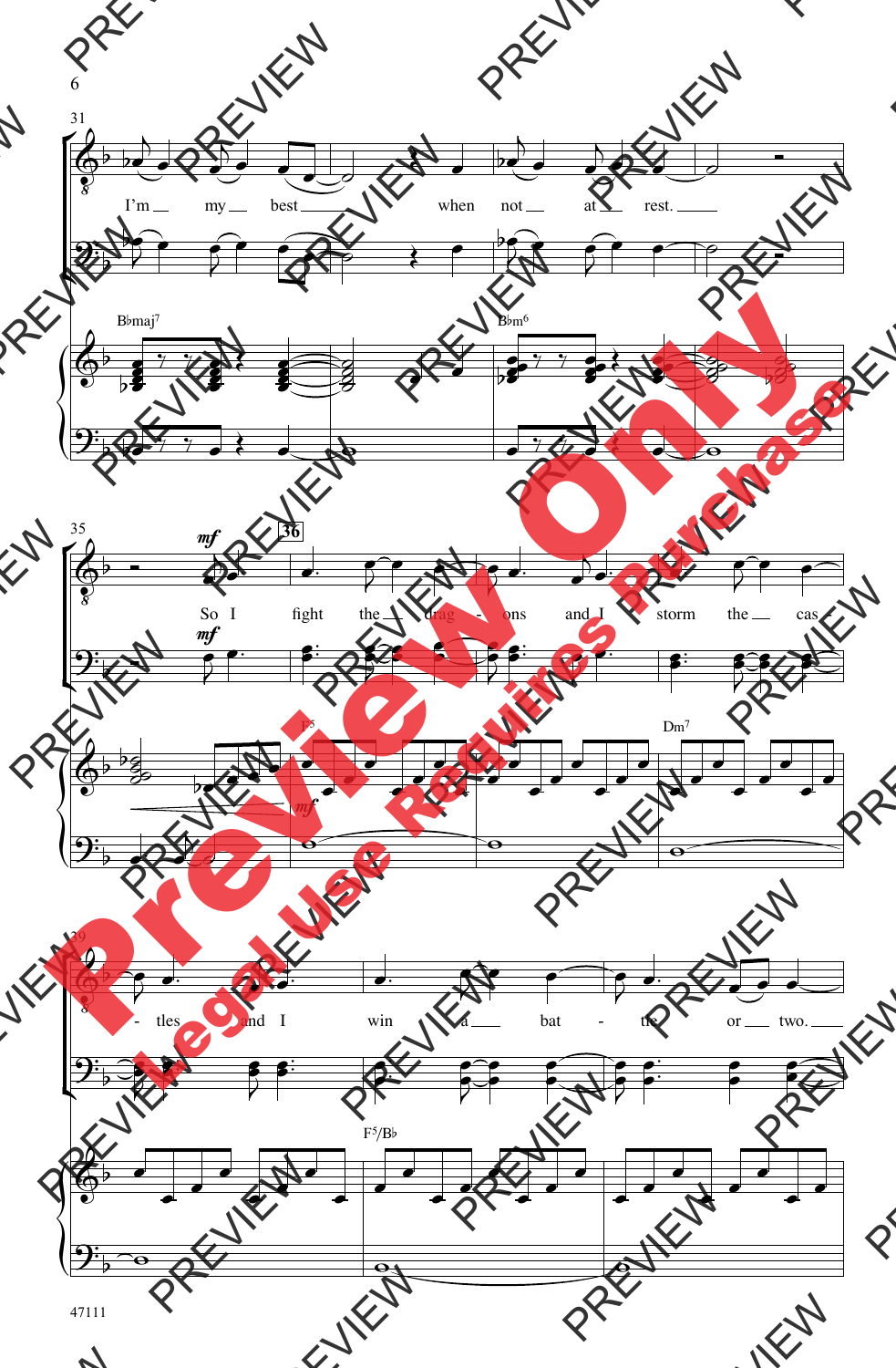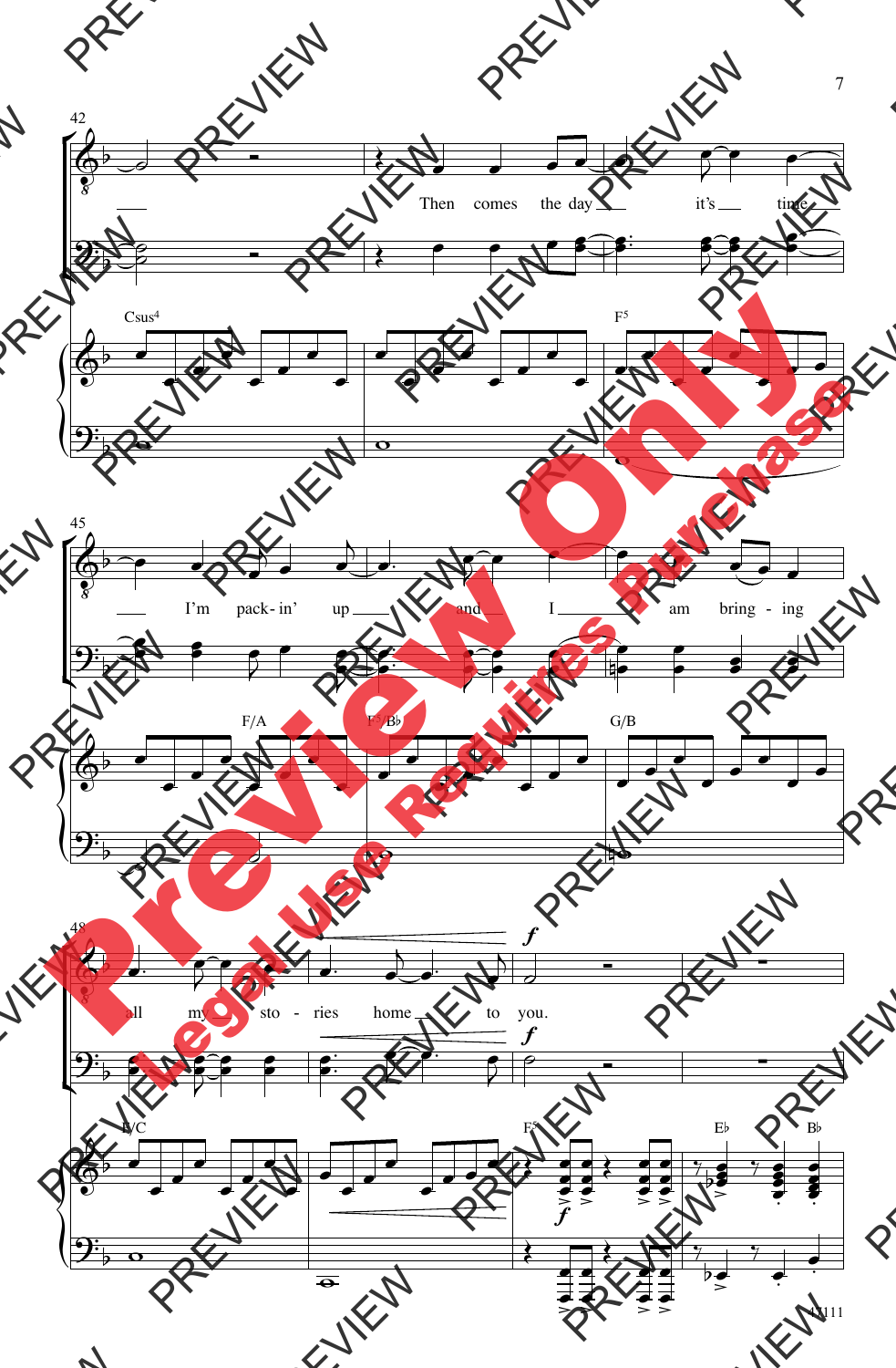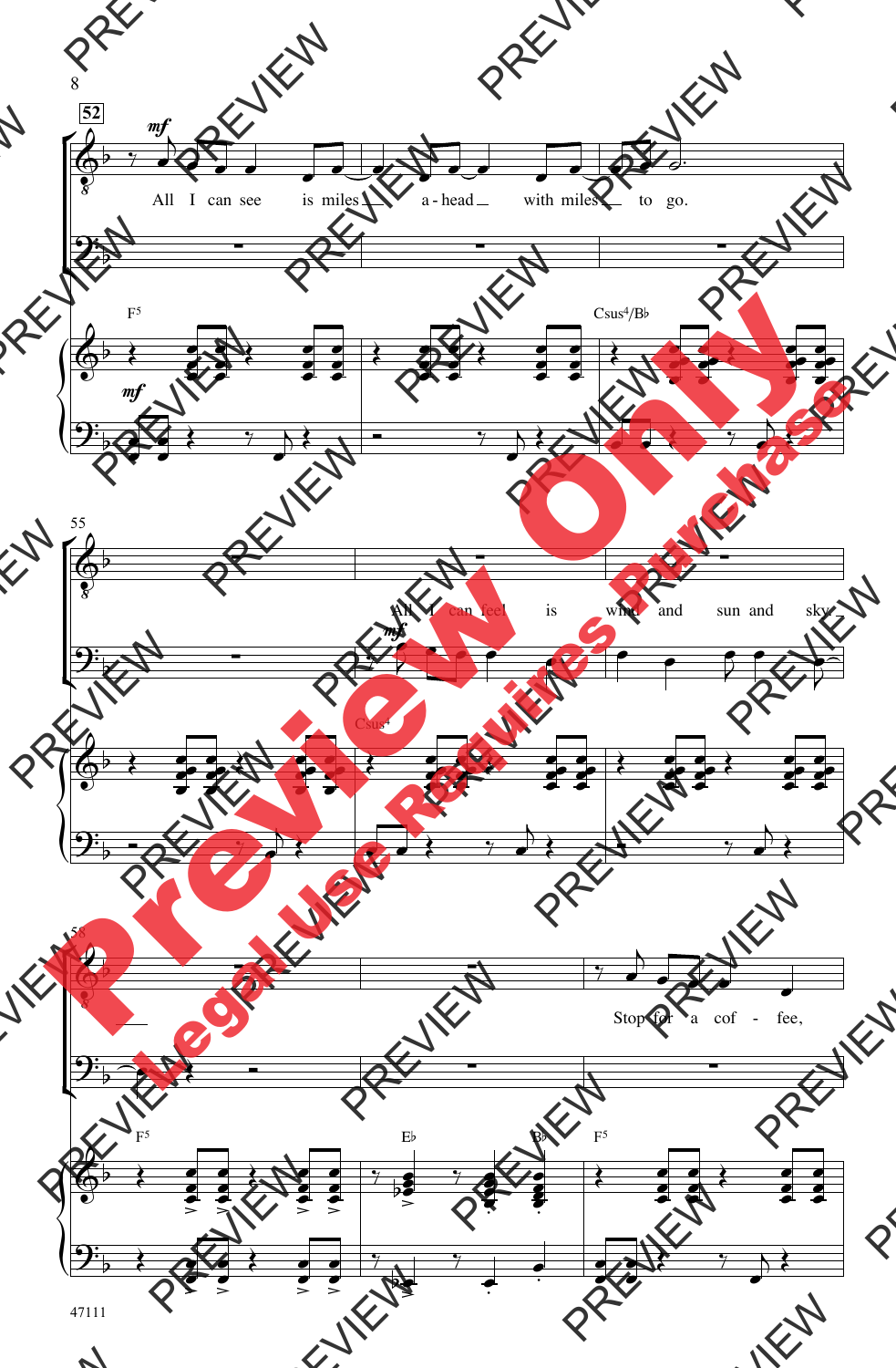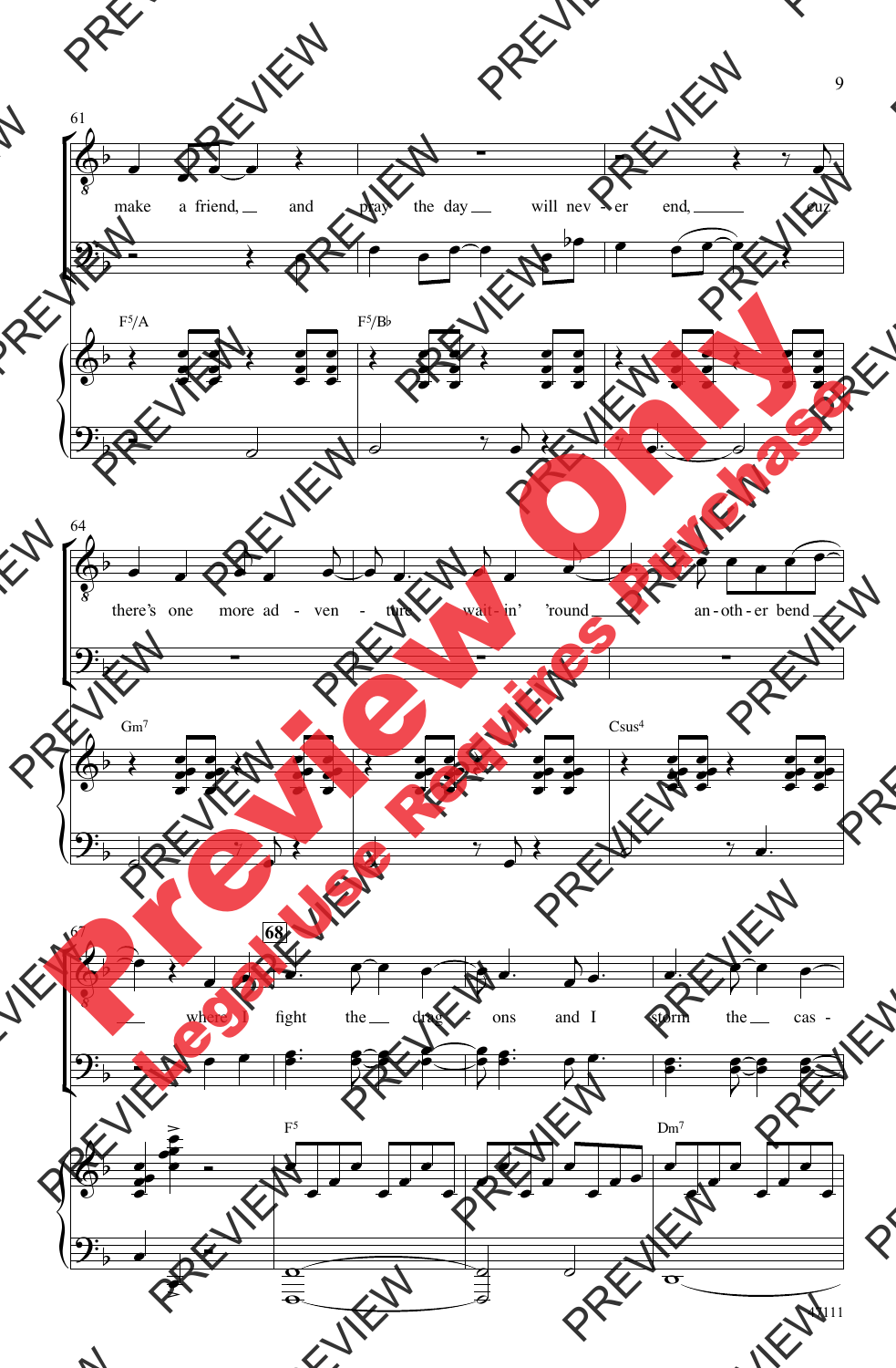![](_page_6_Figure_0.jpeg)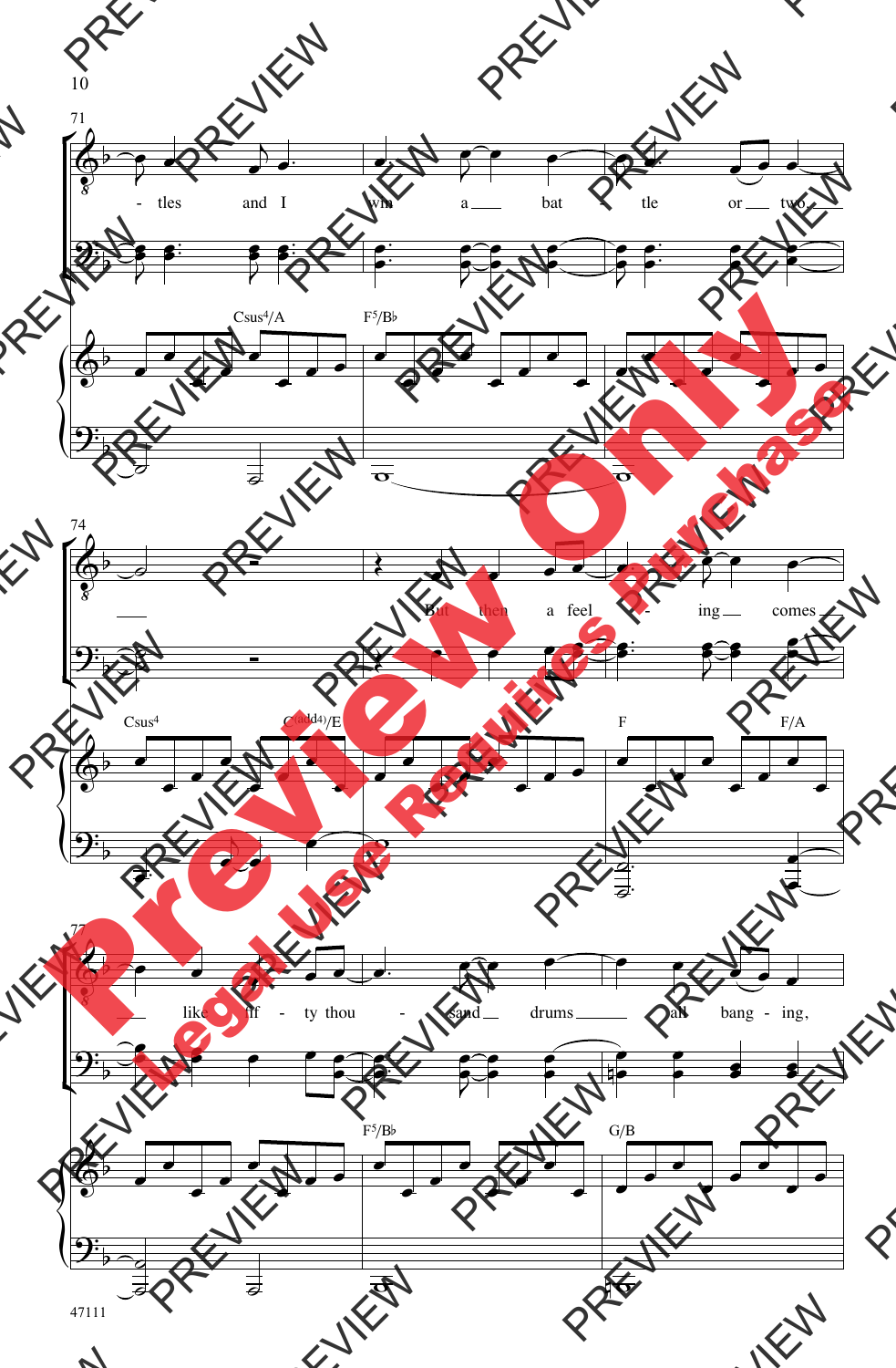![](_page_7_Figure_0.jpeg)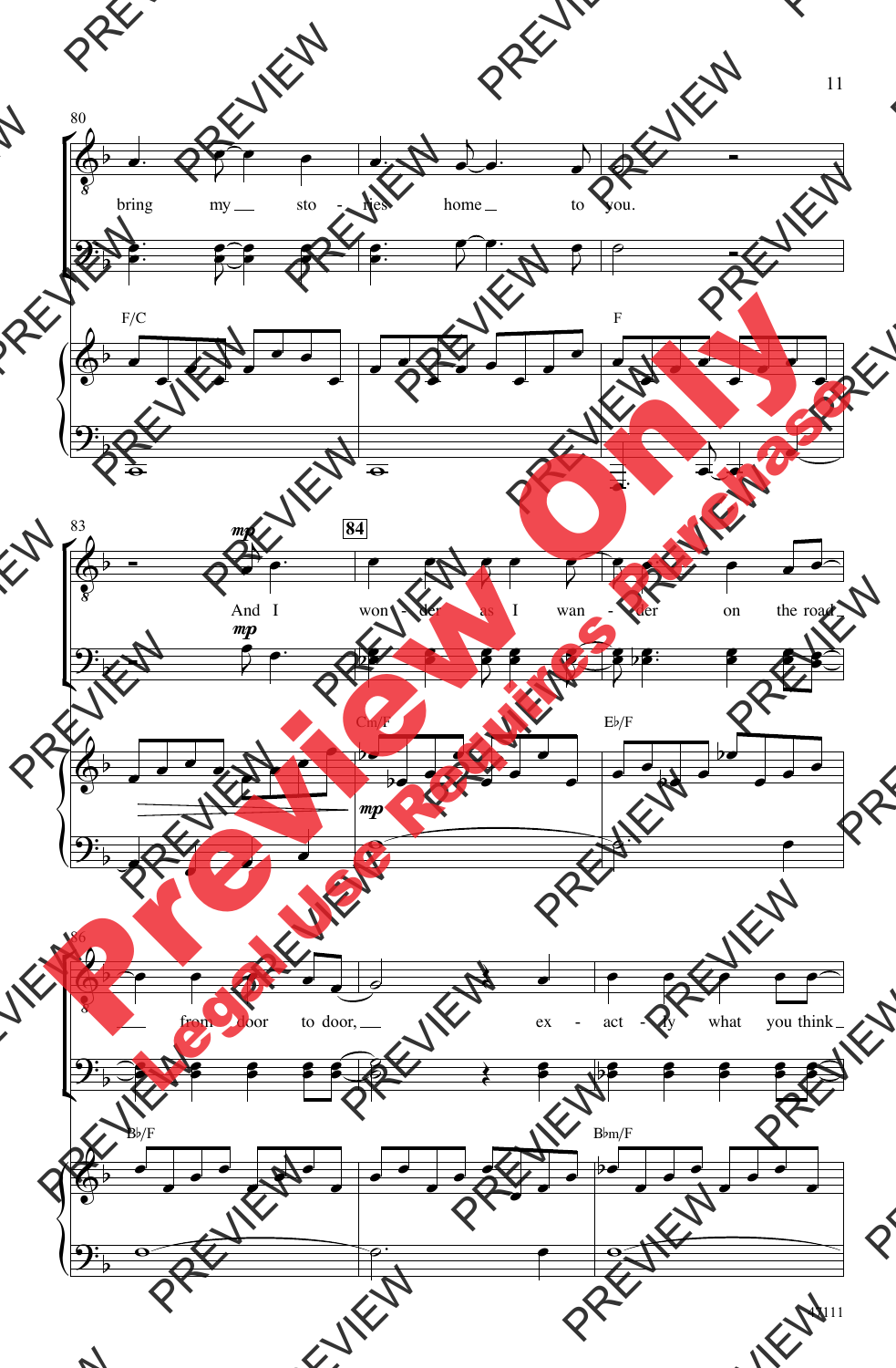![](_page_8_Figure_0.jpeg)

47111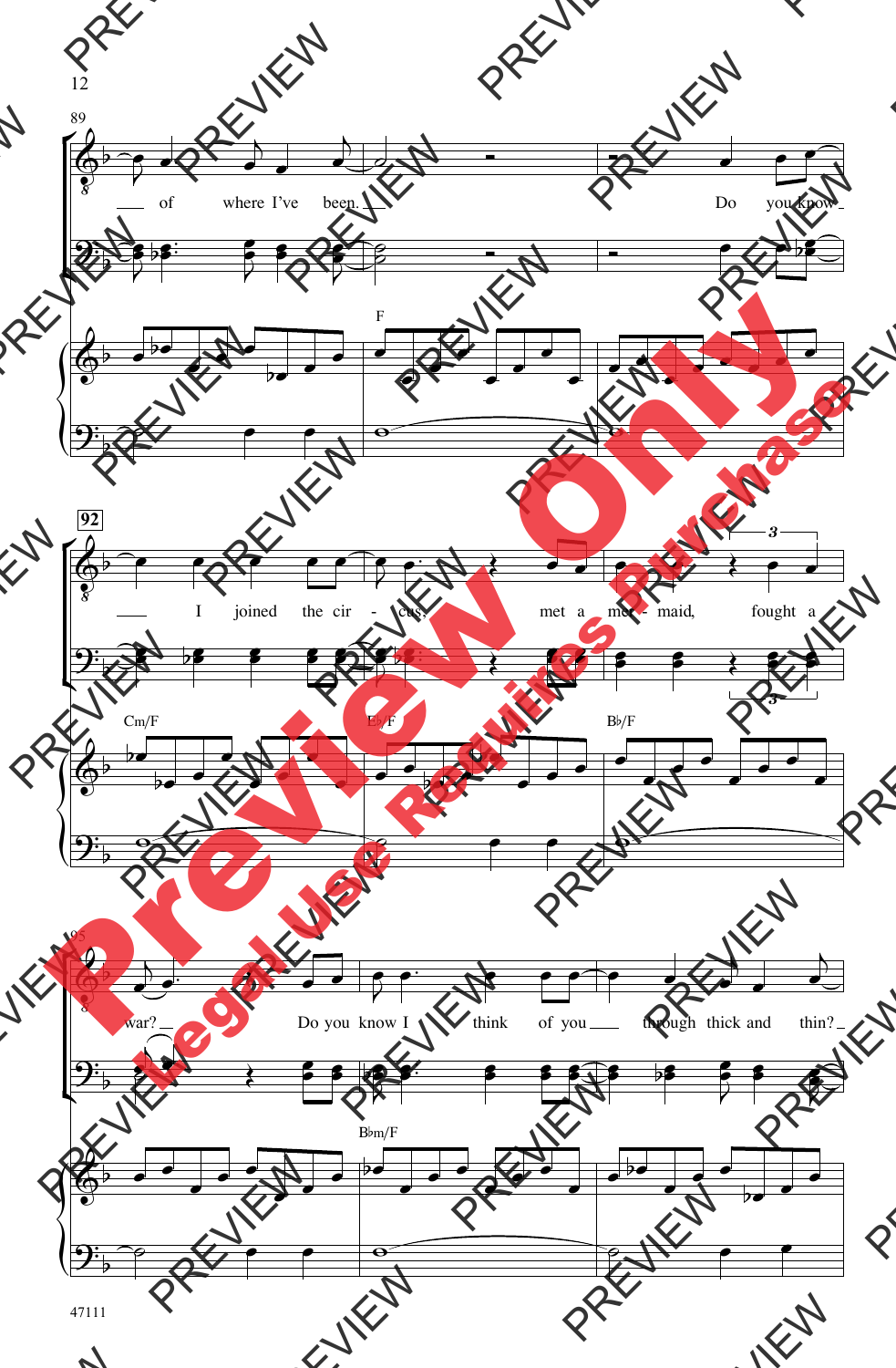![](_page_9_Figure_0.jpeg)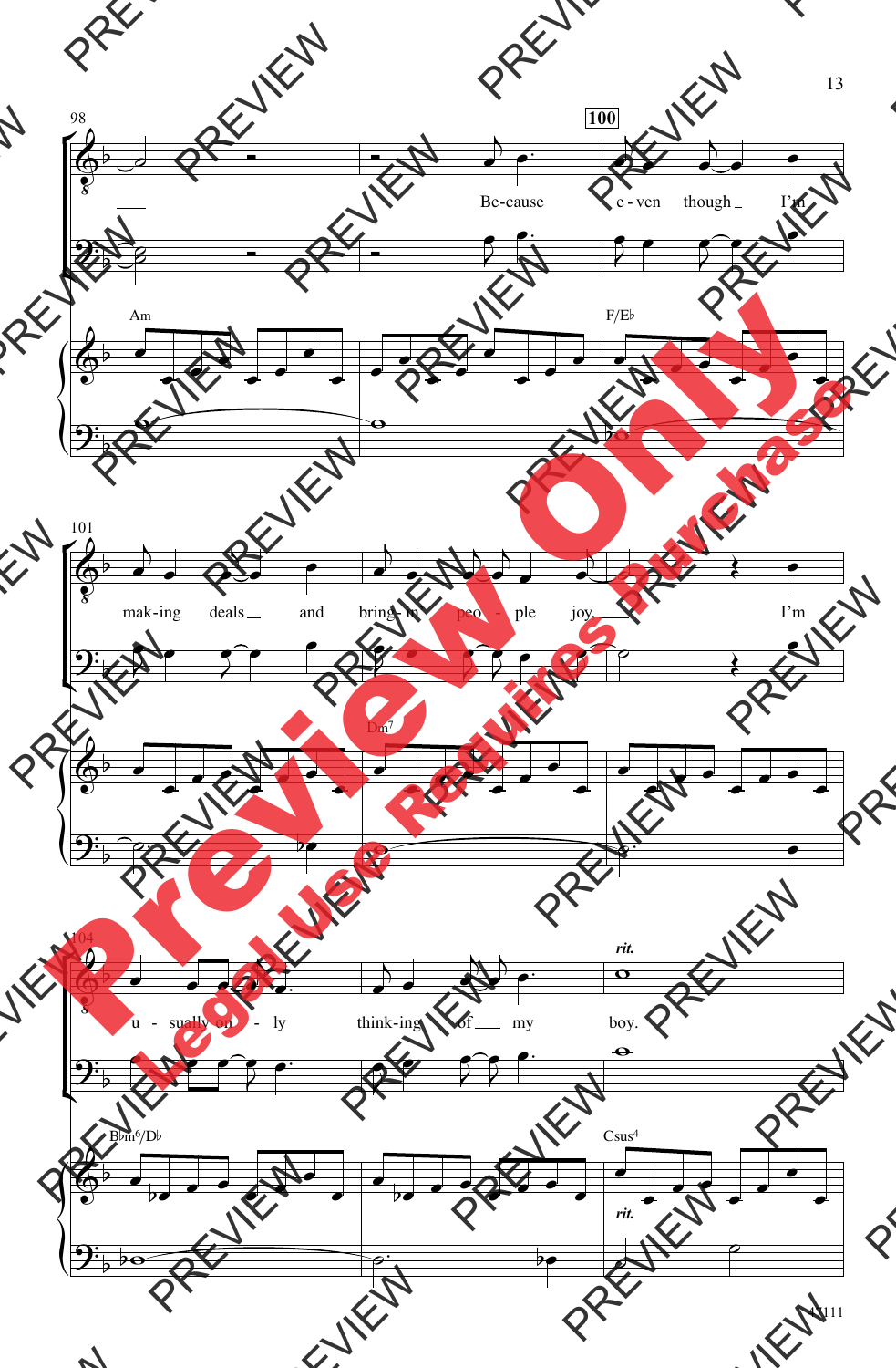![](_page_10_Figure_0.jpeg)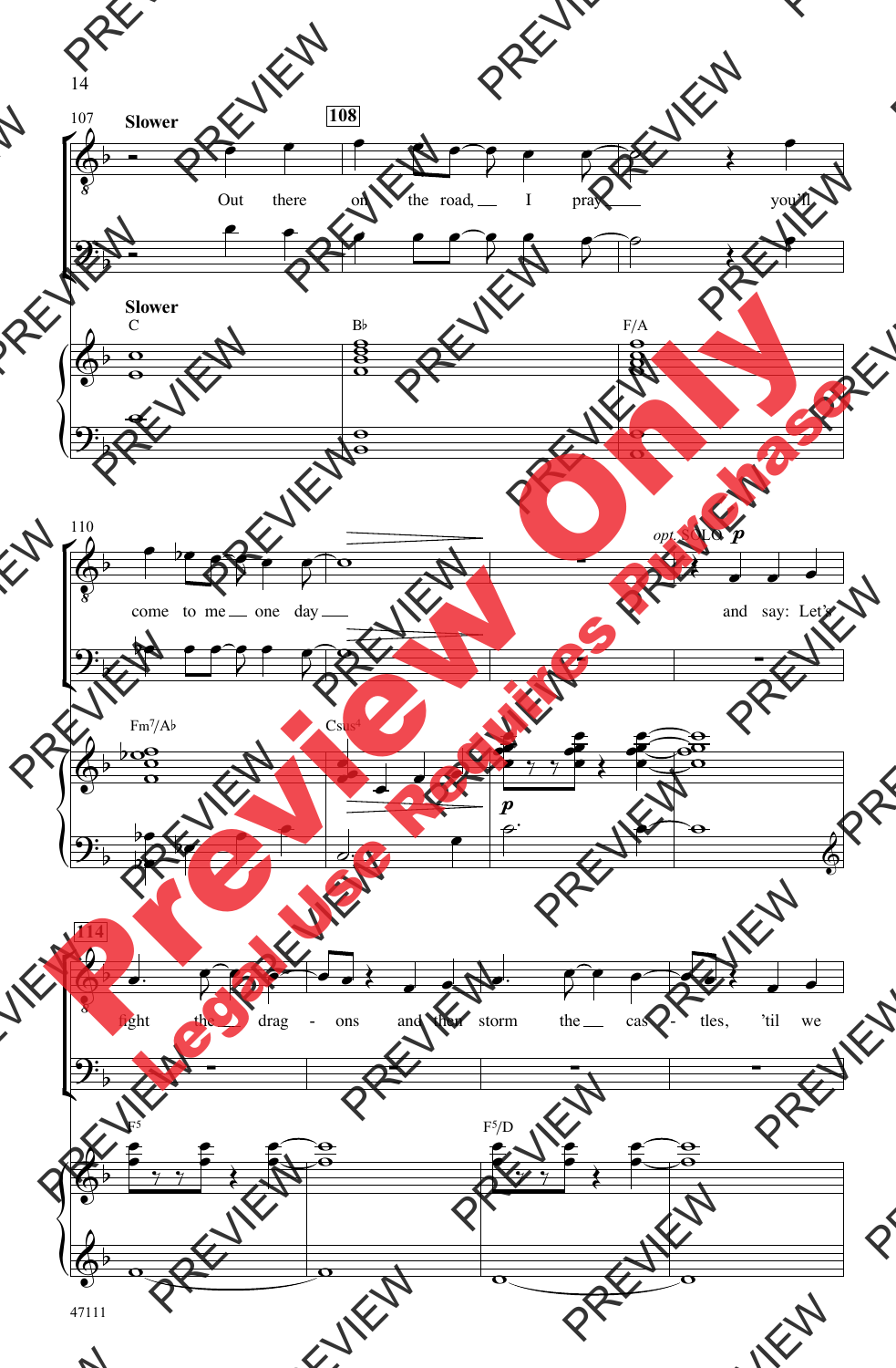![](_page_11_Figure_0.jpeg)

47111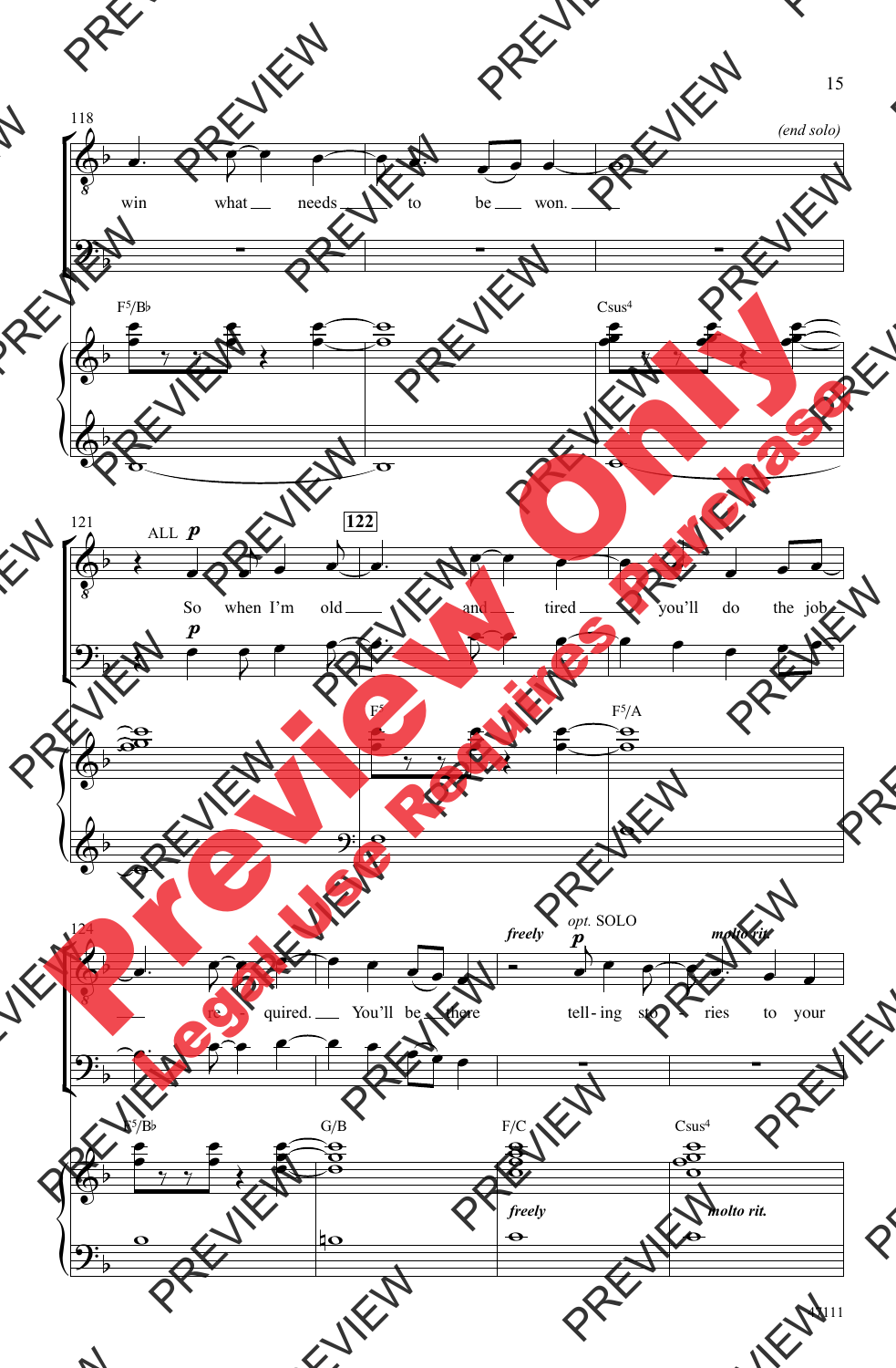![](_page_12_Figure_0.jpeg)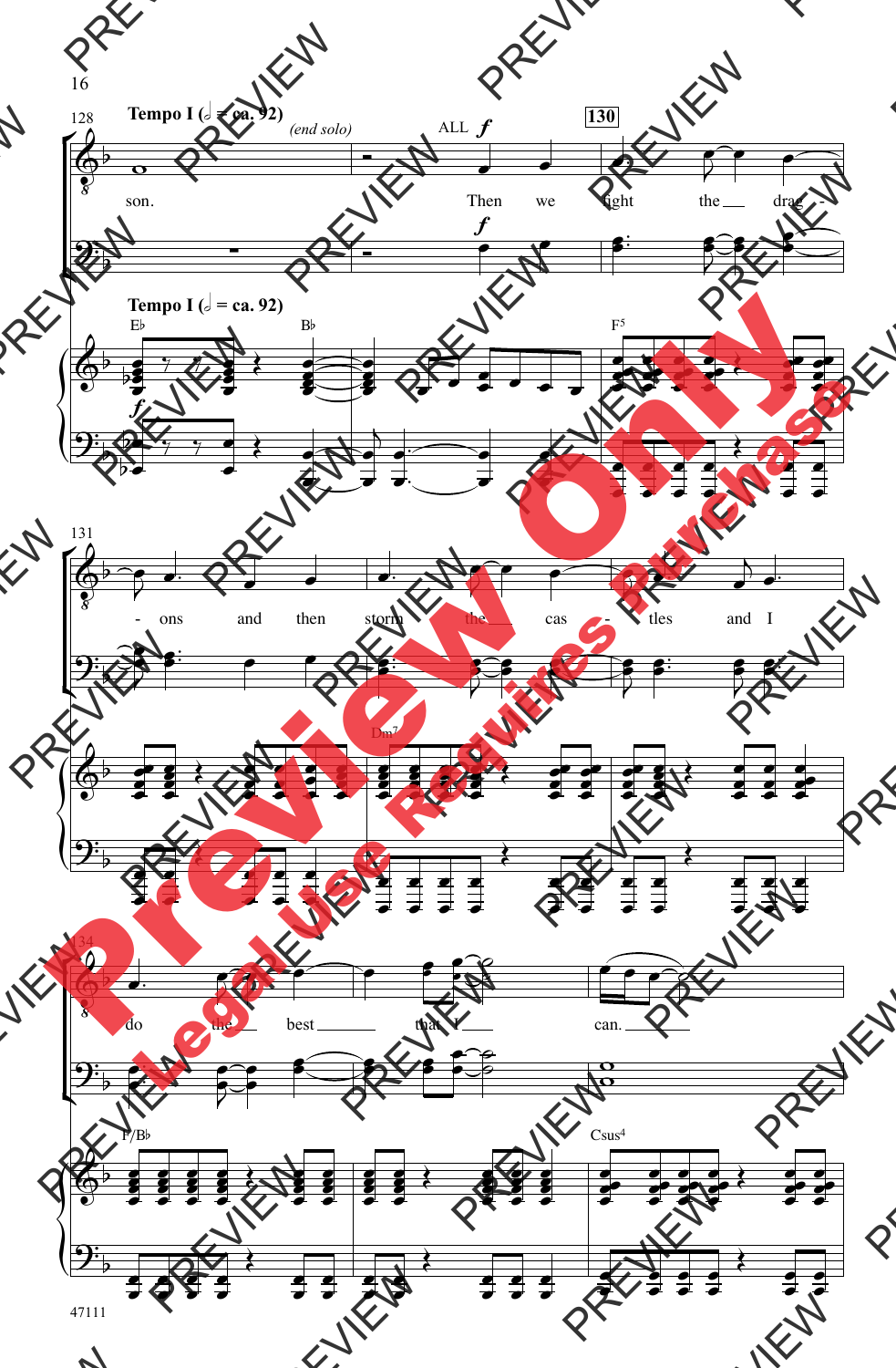![](_page_13_Figure_0.jpeg)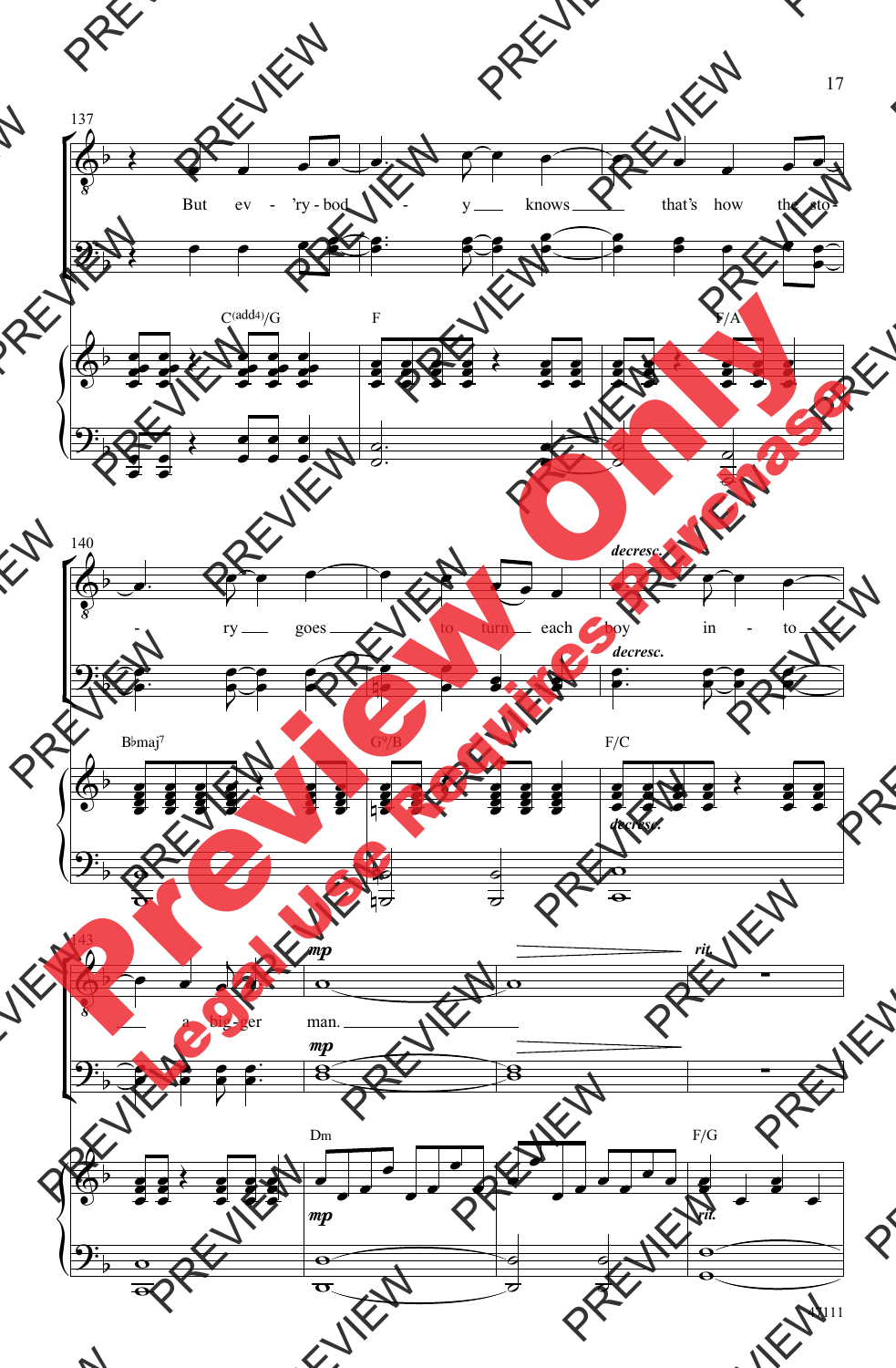![](_page_14_Figure_0.jpeg)